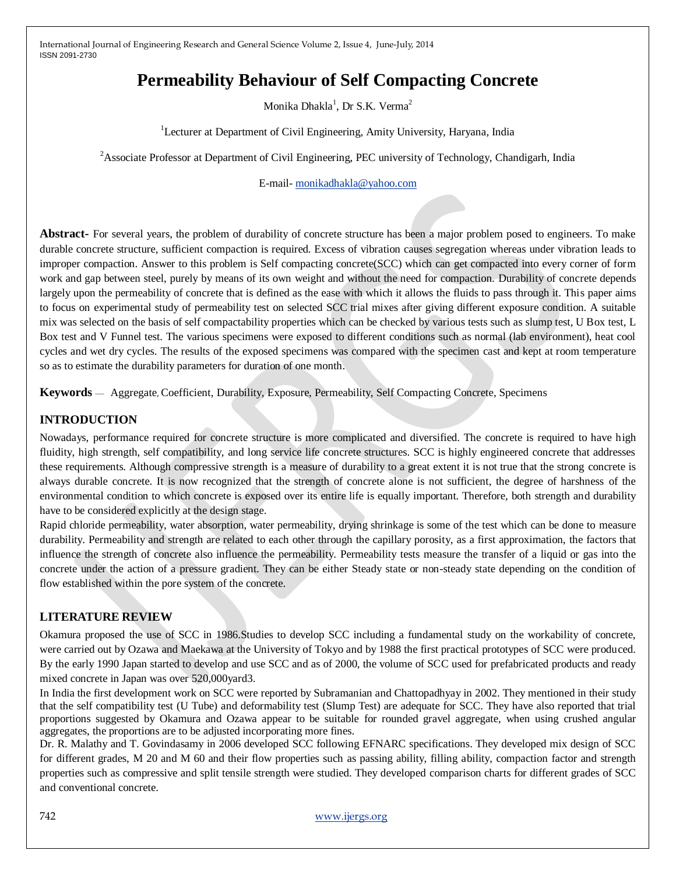# **Permeability Behaviour of Self Compacting Concrete**

Monika Dhakla $^1$ , Dr S.K. Verma $^2$ 

<sup>1</sup>Lecturer at Department of Civil Engineering, Amity University, Haryana, India

<sup>2</sup> Associate Professor at Department of Civil Engineering, PEC university of Technology, Chandigarh, India

E-mail- [monikadhakla@yahoo.com](mailto:monikadhakla@yahoo.com)

**Abstract-** For several years, the problem of durability of concrete structure has been a major problem posed to engineers. To make durable concrete structure, sufficient compaction is required. Excess of vibration causes segregation whereas under vibration leads to improper compaction. Answer to this problem is Self compacting concrete(SCC) which can get compacted into every corner of form work and gap between steel, purely by means of its own weight and without the need for compaction. Durability of concrete depends largely upon the permeability of concrete that is defined as the ease with which it allows the fluids to pass through it. This paper aims to focus on experimental study of permeability test on selected SCC trial mixes after giving different exposure condition. A suitable mix was selected on the basis of self compactability properties which can be checked by various tests such as slump test, U Box test, L Box test and V Funnel test. The various specimens were exposed to different conditions such as normal (lab environment), heat cool cycles and wet dry cycles. The results of the exposed specimens was compared with the specimen cast and kept at room temperature so as to estimate the durability parameters for duration of one month.

**Keywords** — Aggregate, Coefficient, Durability, Exposure, Permeability, Self Compacting Concrete, Specimens

#### **INTRODUCTION**

Nowadays, performance required for concrete structure is more complicated and diversified. The concrete is required to have high fluidity, high strength, self compatibility, and long service life concrete structures. SCC is highly engineered concrete that addresses these requirements. Although compressive strength is a measure of durability to a great extent it is not true that the strong concrete is always durable concrete. It is now recognized that the strength of concrete alone is not sufficient, the degree of harshness of the environmental condition to which concrete is exposed over its entire life is equally important. Therefore, both strength and durability have to be considered explicitly at the design stage.

Rapid chloride permeability, water absorption, water permeability, drying shrinkage is some of the test which can be done to measure durability. Permeability and strength are related to each other through the capillary porosity, as a first approximation, the factors that influence the strength of concrete also influence the permeability. Permeability tests measure the transfer of a liquid or gas into the concrete under the action of a pressure gradient. They can be either Steady state or non-steady state depending on the condition of flow established within the pore system of the concrete.

#### **LITERATURE REVIEW**

Okamura proposed the use of SCC in 1986.Studies to develop SCC including a fundamental study on the workability of concrete, were carried out by Ozawa and Maekawa at the University of Tokyo and by 1988 the first practical prototypes of SCC were produced. By the early 1990 Japan started to develop and use SCC and as of 2000, the volume of SCC used for prefabricated products and ready mixed concrete in Japan was over 520,000yard3.

In India the first development work on SCC were reported by Subramanian and Chattopadhyay in 2002. They mentioned in their study that the self compatibility test (U Tube) and deformability test (Slump Test) are adequate for SCC. They have also reported that trial proportions suggested by Okamura and Ozawa appear to be suitable for rounded gravel aggregate, when using crushed angular aggregates, the proportions are to be adjusted incorporating more fines.

Dr. R. Malathy and T. Govindasamy in 2006 developed SCC following EFNARC specifications. They developed mix design of SCC for different grades, M 20 and M 60 and their flow properties such as passing ability, filling ability, compaction factor and strength properties such as compressive and split tensile strength were studied. They developed comparison charts for different grades of SCC and conventional concrete.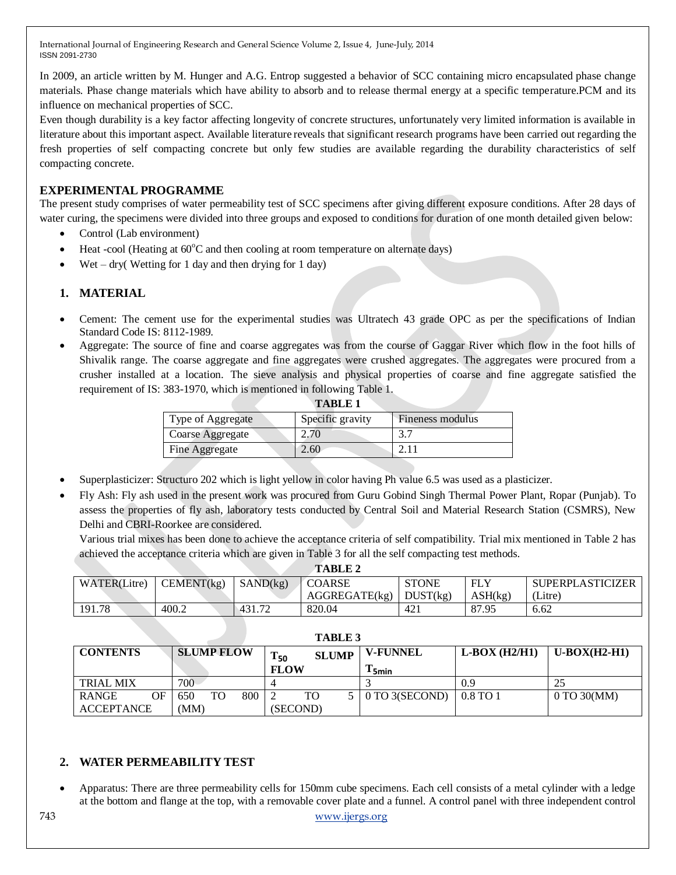In 2009, an article written by M. Hunger and A.G. Entrop suggested a behavior of SCC containing micro encapsulated phase change materials. Phase change materials which have ability to absorb and to release thermal energy at a specific temperature.PCM and its influence on mechanical properties of SCC.

Even though durability is a key factor affecting longevity of concrete structures, unfortunately very limited information is available in literature about this important aspect. Available literature reveals that significant research programs have been carried out regarding the fresh properties of self compacting concrete but only few studies are available regarding the durability characteristics of self compacting concrete.

## **EXPERIMENTAL PROGRAMME**

The present study comprises of water permeability test of SCC specimens after giving different exposure conditions. After 28 days of water curing, the specimens were divided into three groups and exposed to conditions for duration of one month detailed given below:

- Control (Lab environment)
- Heat -cool (Heating at  $60^{\circ}$ C and then cooling at room temperature on alternate days)
- Wet dry( Wetting for 1 day and then drying for 1 day)

## **1. MATERIAL**

- Cement: The cement use for the experimental studies was Ultratech 43 grade OPC as per the specifications of Indian Standard Code IS: 8112-1989.
- Aggregate: The source of fine and coarse aggregates was from the course of Gaggar River which flow in the foot hills of Shivalik range. The coarse aggregate and fine aggregates were crushed aggregates. The aggregates were procured from a crusher installed at a location. The sieve analysis and physical properties of coarse and fine aggregate satisfied the requirement of IS: 383-1970, which is mentioned in following Table 1.

| <b>TABLE 1</b>   |                  |
|------------------|------------------|
| Specific gravity | Fineness modulus |
| 2.70             |                  |
| 4.60             |                  |
|                  |                  |

- Superplasticizer: Structuro 202 which is light yellow in color having Ph value 6.5 was used as a plasticizer.
- Fly Ash: Fly ash used in the present work was procured from Guru Gobind Singh Thermal Power Plant, Ropar (Punjab). To assess the properties of fly ash, laboratory tests conducted by Central Soil and Material Research Station (CSMRS), New Delhi and CBRI-Roorkee are considered.

Various trial mixes has been done to achieve the acceptance criteria of self compatibility. Trial mix mentioned in Table 2 has achieved the acceptance criteria which are given in Table 3 for all the self compacting test methods.

| <b>TABLE 2</b> |            |                |               |                 |            |                         |
|----------------|------------|----------------|---------------|-----------------|------------|-------------------------|
| WATER(Litre)   | CEMENT(kg) | SAND(kg)       | <b>COARSE</b> | <b>STONE</b>    | <b>FLY</b> | <b>SUPERPLASTICIZER</b> |
|                |            |                | AGGREGATE(kg) | DUST(kg)        | ASH(kg)    | (Litre)                 |
| 191.78         | 400.2      | $\sqrt{431.7}$ | 820.04        | 42 <sub>1</sub> | 87.95      | 6.62                    |

| <b>TABLE 3</b>     |                   |     |             |              |                 |                 |                        |
|--------------------|-------------------|-----|-------------|--------------|-----------------|-----------------|------------------------|
| <b>CONTENTS</b>    | <b>SLUMP FLOW</b> |     | $T_{50}$    | <b>SLUMP</b> | <b>V-FUNNEL</b> | $L-Box (H2/H1)$ | $U-BOX(H2-H1)$         |
|                    |                   |     | <b>FLOW</b> |              | $15$ min        |                 |                        |
| <b>TRIAL MIX</b>   | 700               |     |             |              |                 | 0.9             |                        |
| OF<br><b>RANGE</b> | TO<br>650         | 800 | TO          |              | 0 TO 3(SECOND)  | $0.8$ TO 1      | $0 \text{ TO } 30(MM)$ |
| <b>ACCEPTANCE</b>  | (MM)              |     | (SECOND)    |              |                 |                 |                        |

#### **2. WATER PERMEABILITY TEST**

 Apparatus: There are three permeability cells for 150mm cube specimens. Each cell consists of a metal cylinder with a ledge at the bottom and flange at the top, with a removable cover plate and a funnel. A control panel with three independent control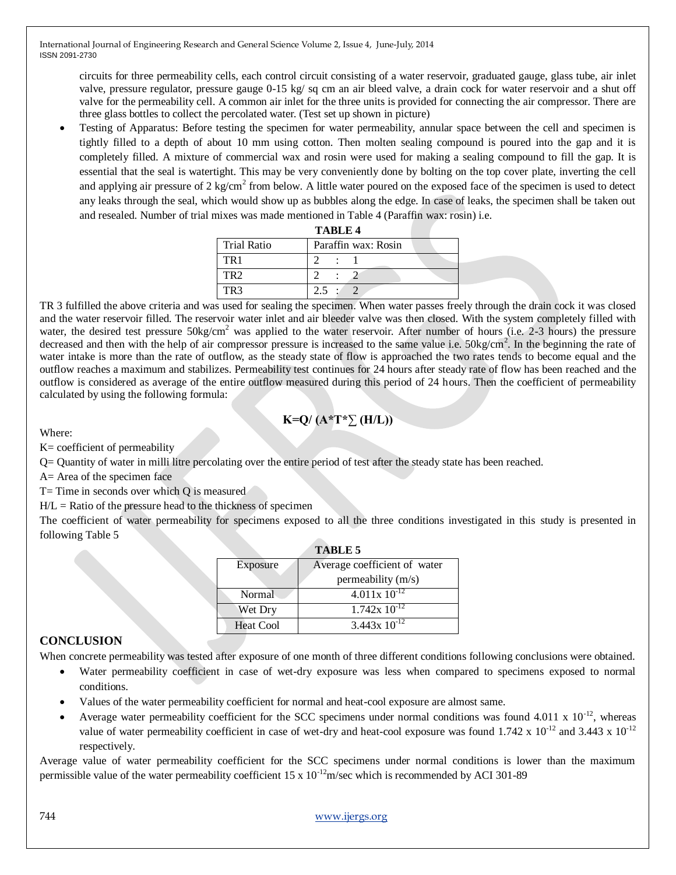circuits for three permeability cells, each control circuit consisting of a water reservoir, graduated gauge, glass tube, air inlet valve, pressure regulator, pressure gauge 0-15 kg/ sq cm an air bleed valve, a drain cock for water reservoir and a shut off valve for the permeability cell. A common air inlet for the three units is provided for connecting the air compressor. There are three glass bottles to collect the percolated water. (Test set up shown in picture)

 Testing of Apparatus: Before testing the specimen for water permeability, annular space between the cell and specimen is tightly filled to a depth of about 10 mm using cotton. Then molten sealing compound is poured into the gap and it is completely filled. A mixture of commercial wax and rosin were used for making a sealing compound to fill the gap. It is essential that the seal is watertight. This may be very conveniently done by bolting on the top cover plate, inverting the cell and applying air pressure of 2 kg/cm<sup>2</sup> from below. A little water poured on the exposed face of the specimen is used to detect any leaks through the seal, which would show up as bubbles along the edge. In case of leaks, the specimen shall be taken out and resealed. Number of trial mixes was made mentioned in Table 4 (Paraffin wax: rosin) i.e.

|                    | <b>TABLE 4</b>      |  |
|--------------------|---------------------|--|
| <b>Trial Ratio</b> | Paraffin wax: Rosin |  |
| TR <sub>1</sub>    |                     |  |
| TR <sub>2</sub>    |                     |  |
|                    |                     |  |

TR 3 fulfilled the above criteria and was used for sealing the specimen. When water passes freely through the drain cock it was closed and the water reservoir filled. The reservoir water inlet and air bleeder valve was then closed. With the system completely filled with water, the desired test pressure 50kg/cm<sup>2</sup> was applied to the water reservoir. After number of hours (i.e. 2-3 hours) the pressure decreased and then with the help of air compressor pressure is increased to the same value i.e.  $50\text{kg/cm}^2$ . In the beginning the rate of water intake is more than the rate of outflow, as the steady state of flow is approached the two rates tends to become equal and the outflow reaches a maximum and stabilizes. Permeability test continues for 24 hours after steady rate of flow has been reached and the outflow is considered as average of the entire outflow measured during this period of 24 hours. Then the coefficient of permeability calculated by using the following formula:

## **K=Q/ (A\*T\*∑ (H/L))**

Where:

K= coefficient of permeability

Q= Quantity of water in milli litre percolating over the entire period of test after the steady state has been reached.

A= Area of the specimen face

 $T=$  Time in seconds over which Q is measured

 $H/L =$  Ratio of the pressure head to the thickness of specimen

The coefficient of water permeability for specimens exposed to all the three conditions investigated in this study is presented in following Table 5

|                  | <b>TABLE 5</b>               |  |
|------------------|------------------------------|--|
| Exposure         | Average coefficient of water |  |
|                  | permeability (m/s)           |  |
| Normal           | $4.011x10^{-12}$             |  |
| Wet Dry          | $1.742x 10^{-12}$            |  |
| <b>Heat Cool</b> | $3.443x 10^{-12}$            |  |

#### **CONCLUSION**

When concrete permeability was tested after exposure of one month of three different conditions following conclusions were obtained.

- Water permeability coefficient in case of wet-dry exposure was less when compared to specimens exposed to normal conditions.
	- Values of the water permeability coefficient for normal and heat-cool exposure are almost same.
- Average water permeability coefficient for the SCC specimens under normal conditions was found 4.011 x  $10^{-12}$ , whereas value of water permeability coefficient in case of wet-dry and heat-cool exposure was found  $1.742 \times 10^{-12}$  and  $3.443 \times 10^{-12}$ respectively.

Average value of water permeability coefficient for the SCC specimens under normal conditions is lower than the maximum permissible value of the water permeability coefficient  $15 \times 10^{-12}$  m/sec which is recommended by ACI 301-89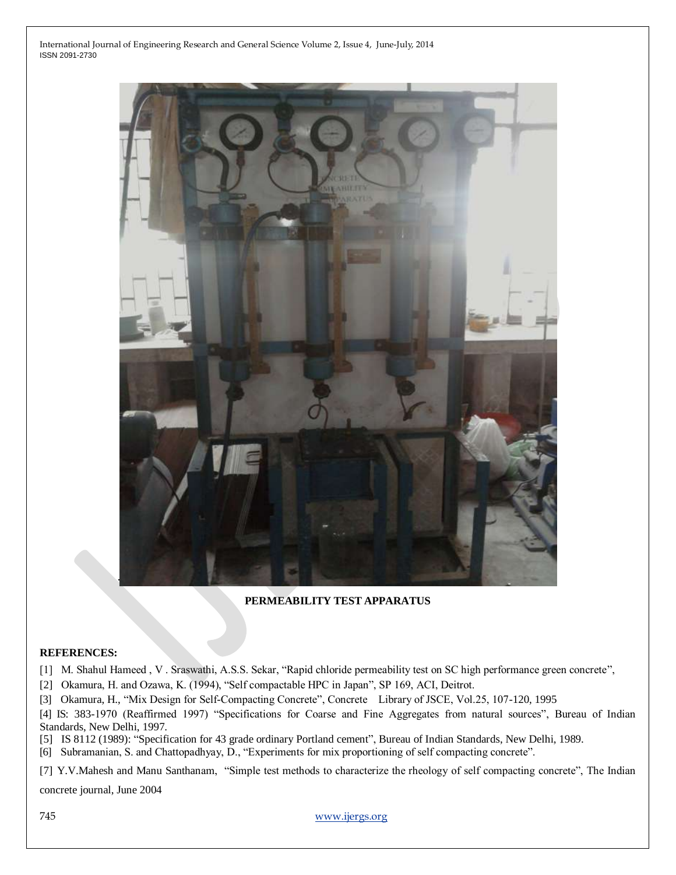

#### **PERMEABILITY TEST APPARATUS**

#### **REFERENCES:**

[1] M. Shahul Hameed, V. Sraswathi, A.S.S. Sekar, "Rapid chloride permeability test on SC high performance green concrete",

[2] Okamura, H. and Ozawa, K. (1994), "Self compactable HPC in Japan", SP 169, ACI, Deitrot.

[3] Okamura, H., "Mix Design for Self-Compacting Concrete", Concrete Library of JSCE, Vol.25, 107-120, 1995

[4] IS: 383-1970 (Reaffirmed 1997) "Specifications for Coarse and Fine Aggregates from natural sources", Bureau of Indian Standards, New Delhi, 1997.

[5] IS 8112 (1989): "Specification for 43 grade ordinary Portland cement", Bureau of Indian Standards, New Delhi, 1989.

[6] Subramanian, S. and Chattopadhyay, D., "Experiments for mix proportioning of self compacting concrete".

[7] Y.V.Mahesh and Manu Santhanam, "Simple test methods to characterize the rheology of self compacting concrete", The Indian

concrete journal, June 2004

745 [www.ijergs.org](http://www.ijergs.org/)